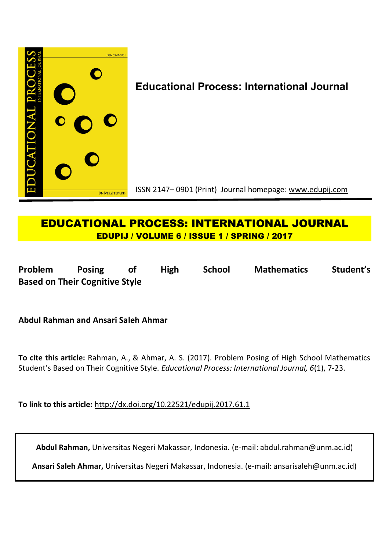

# **Educational Process: International Journal**

ISSN 2147– 0901 (Print) Journal homepage: www.edupij.com

# **EDUCATIONAL PROCESS: INTERNATIONAL JOURNAL EDUPIJ / VOLUME 6 / ISSUE 1 / SPRING / 2017**

**Problem Posing of High School Mathematics Student's Based on Their Cognitive Style**

**Abdul Rahman and Ansari Saleh Ahmar**

**To cite this article:** Rahman, A., & Ahmar, A. S. (2017). Problem Posing of High School Mathematics Student's Based on Their Cognitive Style. *Educational Process: International Journal, 6*(1), 7-23.

**To link to this article:** http://dx.doi.org/10.22521/edupij.2017.61.1

**Abdul Rahman,** Universitas Negeri Makassar, Indonesia. (e-mail: abdul.rahman@unm.ac.id)

**Ansari Saleh Ahmar,** Universitas Negeri Makassar, Indonesia. (e-mail: ansarisaleh@unm.ac.id)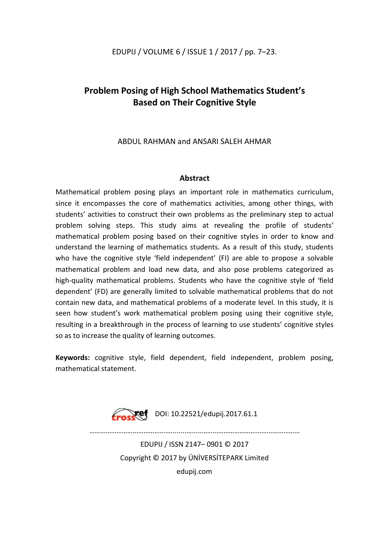## EDUPIJ / VOLUME 6 / ISSUE 1 / 2017 / pp. 7–23.

# **Problem Posing of High School Mathematics Student's Based on Their Cognitive Style**

## ABDUL RAHMAN and ANSARI SALEH AHMAR

## **Abstract**

Mathematical problem posing plays an important role in mathematics curriculum, since it encompasses the core of mathematics activities, among other things, with students' activities to construct their own problems as the preliminary step to actual problem solving steps. This study aims at revealing the profile of students' mathematical problem posing based on their cognitive styles in order to know and understand the learning of mathematics students. As a result of this study, students who have the cognitive style 'field independent' (FI) are able to propose a solvable mathematical problem and load new data, and also pose problems categorized as high-quality mathematical problems. Students who have the cognitive style of 'field dependent' (FD) are generally limited to solvable mathematical problems that do not contain new data, and mathematical problems of a moderate level. In this study, it is seen how student's work mathematical problem posing using their cognitive style, resulting in a breakthrough in the process of learning to use students' cognitive styles so as to increase the quality of learning outcomes.

**Keywords:** cognitive style, field dependent, field independent, problem posing, mathematical statement.



………………………………………........….....………………………………...……………

EDUPIJ / ISSN 2147– 0901 © 2017 Copyright © 2017 by ÜNİVERSİTEPARK Limited edupij.com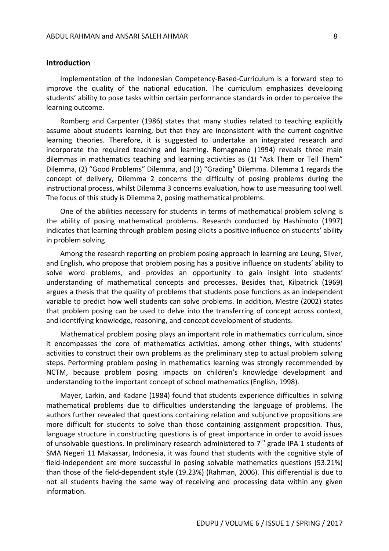#### **Introduction**

Implementation of the Indonesian Competency-Based-Curriculum is a forward step to improve the quality of the national education. The curriculum emphasizes developing students' ability to pose tasks within certain performance standards in order to perceive the learning outcome.

Romberg and Carpenter (1986) states that many studies related to teaching explicitly assume about students learning, but that they are inconsistent with the current cognitive learning theories. Therefore, it is suggested to undertake an integrated research and incorporate the required teaching and learning. Romagnano (1994) reveals three main dilemmas in mathematics teaching and learning activities as (1) "Ask Them or Tell Them" Dilemma, (2) "Good Problems" Dilemma, and (3) "Grading" Dilemma. Dilemma 1 regards the concept of delivery, Dilemma 2 concerns the difficulty of posing problems during the instructional process, whilst Dilemma 3 concerns evaluation, how to use measuring tool well. The focus of this study is Dilemma 2, posing mathematical problems.

One of the abilities necessary for students in terms of mathematical problem solving is the ability of posing mathematical problems. Research conducted by Hashimoto (1997) indicates that learning through problem posing elicits a positive influence on students' ability in problem solving.

Among the research reporting on problem posing approach in learning are Leung, Silver, and English, who propose that problem posing has a positive influence on students' ability to solve word problems, and provides an opportunity to gain insight into students' understanding of mathematical concepts and processes. Besides that, Kilpatrick (1969) argues a thesis that the quality of problems that students pose functions as an independent variable to predict how well students can solve problems. In addition, Mestre (2002) states that problem posing can be used to delve into the transferring of concept across context, and identifying knowledge, reasoning, and concept development of students.

Mathematical problem posing plays an important role in mathematics curriculum, since it encompasses the core of mathematics activities, among other things, with students' activities to construct their own problems as the preliminary step to actual problem solving steps. Performing problem posing in mathematics learning was strongly recommended by NCTM, because problem posing impacts on children's knowledge development and understanding to the important concept of school mathematics (English, 1998).

Mayer, Larkin, and Kadane (1984) found that students experience difficulties in solving mathematical problems due to difficulties understanding the language of problems. The authors further revealed that questions containing relation and subjunctive propositions are more difficult for students to solve than those containing assignment proposition. Thus, language structure in constructing questions is of great importance in order to avoid issues of unsolvable questions. In preliminary research administered to  $7<sup>th</sup>$  grade IPA 1 students of SMA Negeri 11 Makassar, Indonesia, it was found that students with the cognitive style of field-independent are more successful in posing solvable mathematics questions (53.21%) than those of the field-dependent style (19.23%) (Rahman, 2006). This differential is due to not all students having the same way of receiving and processing data within any given information.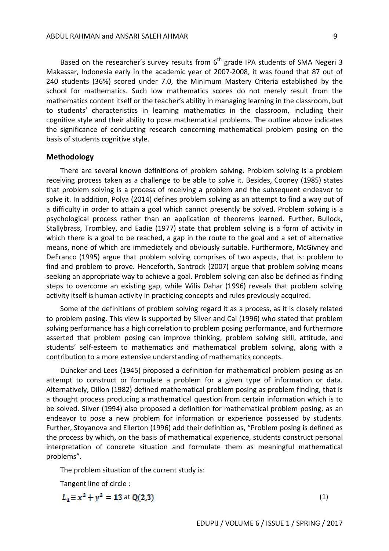Based on the researcher's survey results from  $6<sup>th</sup>$  grade IPA students of SMA Negeri 3 Makassar, Indonesia early in the academic year of 2007-2008, it was found that 87 out of 240 students (36%) scored under 7.0, the Minimum Mastery Criteria established by the school for mathematics. Such low mathematics scores do not merely result from the mathematics content itself or the teacher's ability in managing learning in the classroom, but to students' characteristics in learning mathematics in the classroom, including their cognitive style and their ability to pose mathematical problems. The outline above indicates the significance of conducting research concerning mathematical problem posing on the basis of students cognitive style.

### **Methodology**

There are several known definitions of problem solving. Problem solving is a problem receiving process taken as a challenge to be able to solve it. Besides, Cooney (1985) states that problem solving is a process of receiving a problem and the subsequent endeavor to solve it. In addition, Polya (2014) defines problem solving as an attempt to find a way out of a difficulty in order to attain a goal which cannot presently be solved. Problem solving is a psychological process rather than an application of theorems learned. Further, Bullock, Stallybrass, Trombley, and Eadie (1977) state that problem solving is a form of activity in which there is a goal to be reached, a gap in the route to the goal and a set of alternative means, none of which are immediately and obviously suitable. Furthermore, McGivney and DeFranco (1995) argue that problem solving comprises of two aspects, that is: problem to find and problem to prove. Henceforth, Santrock (2007) argue that problem solving means seeking an appropriate way to achieve a goal. Problem solving can also be defined as finding steps to overcome an existing gap, while Wilis Dahar (1996) reveals that problem solving activity itself is human activity in practicing concepts and rules previously acquired.

Some of the definitions of problem solving regard it as a process, as it is closely related to problem posing. This view is supported by Silver and Cai (1996) who stated that problem solving performance has a high correlation to problem posing performance, and furthermore asserted that problem posing can improve thinking, problem solving skill, attitude, and students' self-esteem to mathematics and mathematical problem solving, along with a contribution to a more extensive understanding of mathematics concepts.

Duncker and Lees (1945) proposed a definition for mathematical problem posing as an attempt to construct or formulate a problem for a given type of information or data. Alternatively, Dillon (1982) defined mathematical problem posing as problem finding, that is a thought process producing a mathematical question from certain information which is to be solved. Silver (1994) also proposed a definition for mathematical problem posing, as an endeavor to pose a new problem for information or experience possessed by students. Further, Stoyanova and Ellerton (1996) add their definition as, "Problem posing is defined as the process by which, on the basis of mathematical experience, students construct personal interpretation of concrete situation and formulate them as meaningful mathematical problems".

The problem situation of the current study is:

Tangent line of circle :

 $L_1 \equiv x^2 + y^2 = 13$  at  $Q(2,3)$  (1)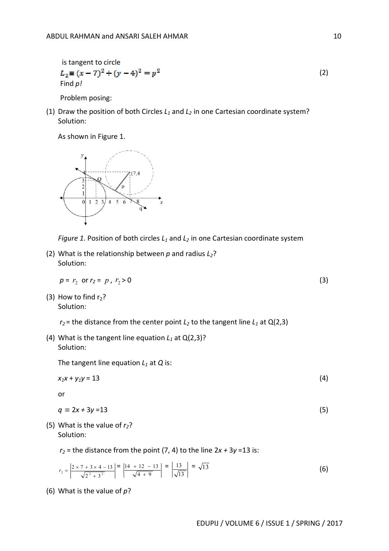is tangent to circle  
\n
$$
L_2 = (x - 7)^2 + (y - 4)^2 = p^2
$$
\nFind p! (2)

Problem posing:

(1) Draw the position of both Circles *L<sup>1</sup>* and *L<sup>2</sup>* in one Cartesian coordinate system? Solution:

As shown in Figure 1.





(2) What is the relationship between *p* and radius *L2*? Solution:

$$
p = r_2 \text{ or } r_2 = p, r_2 > 0 \tag{3}
$$

(3) How to find  $r_2$ ? Solution:

 $r_2$  = the distance from the center point  $L_2$  to the tangent line  $L_1$  at Q(2,3)

(4) What is the tangent line equation  $L_1$  at  $Q(2,3)$ ? Solution:

The tangent line equation *L<sup>1</sup>* at *Q* is:

 $x_1x + y_1y = 13$  (4)

or

$$
q \equiv 2x + 3y = 13 \tag{5}
$$

(5) What is the value of *r2*? Solution:

 $r_2$  = the distance from the point (7, 4) to the line  $2x + 3y = 13$  is:

$$
r_2 = \left| \frac{2 \times 7 + 3 \times 4 - 13}{\sqrt{2^2 + 3^2}} \right| = \left| \frac{14 + 12 - 13}{\sqrt{4 + 9}} \right| = \left| \frac{13}{\sqrt{13}} \right| = \sqrt{13}
$$
(6)

(6) What is the value of *p*?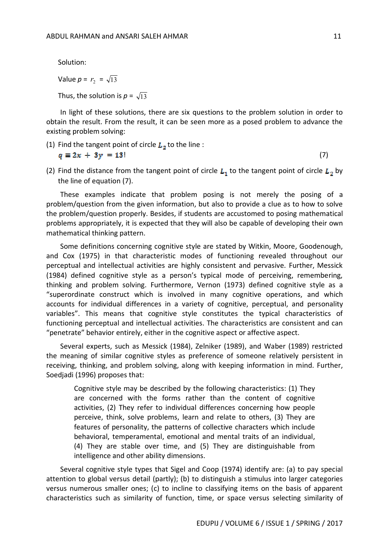Solution:

Value  $p = r_2 = \sqrt{13}$ 

Thus, the solution is  $p = \sqrt{13}$ 

In light of these solutions, there are six questions to the problem solution in order to obtain the result. From the result, it can be seen more as a posed problem to advance the existing problem solving:

(1) Find the tangent point of circle  $L_2$  to the line :

$$
q\equiv 2x+3y=13!
$$

 $\blacksquare$ 

(2) Find the distance from the tangent point of circle  $L_1$  to the tangent point of circle  $L_2$  by the line of equation (7).

These examples indicate that problem posing is not merely the posing of a problem/question from the given information, but also to provide a clue as to how to solve the problem/question properly. Besides, if students are accustomed to posing mathematical problems appropriately, it is expected that they will also be capable of developing their own mathematical thinking pattern.

Some definitions concerning cognitive style are stated by Witkin, Moore, Goodenough, and Cox (1975) in that characteristic modes of functioning revealed throughout our perceptual and intellectual activities are highly consistent and pervasive. Further, Messick (1984) defined cognitive style as a person's typical mode of perceiving, remembering, thinking and problem solving. Furthermore, Vernon (1973) defined cognitive style as a "superordinate construct which is involved in many cognitive operations, and which accounts for individual differences in a variety of cognitive, perceptual, and personality variables". This means that cognitive style constitutes the typical characteristics of functioning perceptual and intellectual activities. The characteristics are consistent and can "penetrate" behavior entirely, either in the cognitive aspect or affective aspect.

Several experts, such as Messick (1984), Zelniker (1989), and Waber (1989) restricted the meaning of similar cognitive styles as preference of someone relatively persistent in receiving, thinking, and problem solving, along with keeping information in mind. Further, Soedjadi (1996) proposes that:

Cognitive style may be described by the following characteristics: (1) They are concerned with the forms rather than the content of cognitive activities, (2) They refer to individual differences concerning how people perceive, think, solve problems, learn and relate to others, (3) They are features of personality, the patterns of collective characters which include behavioral, temperamental, emotional and mental traits of an individual, (4) They are stable over time, and (5) They are distinguishable from intelligence and other ability dimensions.

Several cognitive style types that Sigel and Coop (1974) identify are: (a) to pay special attention to global versus detail (partly); (b) to distinguish a stimulus into larger categories versus numerous smaller ones; (c) to incline to classifying items on the basis of apparent characteristics such as similarity of function, time, or space versus selecting similarity of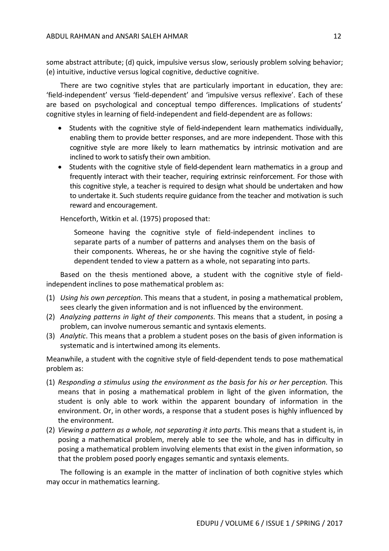some abstract attribute; (d) quick, impulsive versus slow, seriously problem solving behavior; (e) intuitive, inductive versus logical cognitive, deductive cognitive.

There are two cognitive styles that are particularly important in education, they are: 'field-independent' versus 'field-dependent' and 'impulsive versus reflexive'. Each of these are based on psychological and conceptual tempo differences. Implications of students' cognitive styles in learning of field-independent and field-dependent are as follows:

- Students with the cognitive style of field-independent learn mathematics individually, enabling them to provide better responses, and are more independent. Those with this cognitive style are more likely to learn mathematics by intrinsic motivation and are inclined to work to satisfy their own ambition.
- Students with the cognitive style of field-dependent learn mathematics in a group and frequently interact with their teacher, requiring extrinsic reinforcement. For those with this cognitive style, a teacher is required to design what should be undertaken and how to undertake it. Such students require guidance from the teacher and motivation is such reward and encouragement.

Henceforth, Witkin et al. (1975) proposed that:

Someone having the cognitive style of field-independent inclines to separate parts of a number of patterns and analyses them on the basis of their components. Whereas, he or she having the cognitive style of fielddependent tended to view a pattern as a whole, not separating into parts.

Based on the thesis mentioned above, a student with the cognitive style of fieldindependent inclines to pose mathematical problem as:

- (1) *Using his own perception*. This means that a student, in posing a mathematical problem, sees clearly the given information and is not influenced by the environment.
- (2) *Analyzing patterns in light of their components*. This means that a student, in posing a problem, can involve numerous semantic and syntaxis elements.
- (3) *Analytic*. This means that a problem a student poses on the basis of given information is systematic and is intertwined among its elements.

Meanwhile, a student with the cognitive style of field-dependent tends to pose mathematical problem as:

- (1) *Responding a stimulus using the environment as the basis for his or her perception.* This means that in posing a mathematical problem in light of the given information, the student is only able to work within the apparent boundary of information in the environment. Or, in other words, a response that a student poses is highly influenced by the environment.
- (2) *Viewing a pattern as a whole, not separating it into parts*. This means that a student is, in posing a mathematical problem, merely able to see the whole, and has in difficulty in posing a mathematical problem involving elements that exist in the given information, so that the problem posed poorly engages semantic and syntaxis elements.

The following is an example in the matter of inclination of both cognitive styles which may occur in mathematics learning.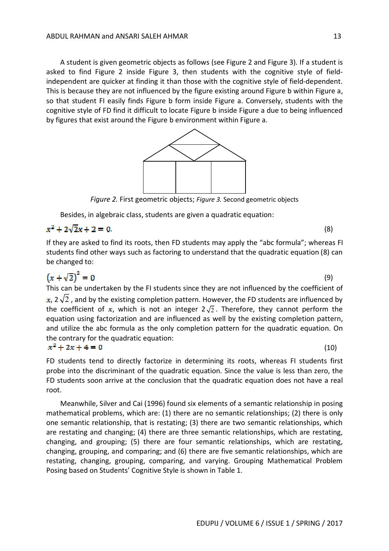A student is given geometric objects as follows (see Figure 2 and Figure 3). If a student is asked to find Figure 2 inside Figure 3, then students with the cognitive style of fieldindependent are quicker at finding it than those with the cognitive style of field-dependent. This is because they are not influenced by the figure existing around Figure b within Figure a, so that student FI easily finds Figure b form inside Figure a. Conversely, students with the cognitive style of FD find it difficult to locate Figure b inside Figure a due to being influenced by figures that exist around the Figure b environment within Figure a.



*Figure 2.* First geometric objects; *Figure 3.* Second geometric objects

Besides, in algebraic class, students are given a quadratic equation:

# .  $(8)$

If they are asked to find its roots, then FD students may apply the "abc formula"; whereas FI students find other ways such as factoring to understand that the quadratic equation (8) can be changed to:

$$
(x + \sqrt{2})^2 = 0
$$
 (9)  
This can be undertaken by the Fl students since they are not influenced by the coefficient of  
x,  $2\sqrt{2}$ , and by the existing completion pattern. However, the FD students are influenced by

the coefficient of x, which is not an integer  $2\sqrt{2}$ . Therefore, they cannot perform the equation using factorization and are influenced as well by the existing completion pattern, and utilize the abc formula as the only completion pattern for the quadratic equation. On the contrary for the quadratic equation:

$$
x^2 + 2x + 4 = 0
$$

FD students tend to directly factorize in determining its roots, whereas FI students first probe into the discriminant of the quadratic equation. Since the value is less than zero, the FD students soon arrive at the conclusion that the quadratic equation does not have a real root.

Meanwhile, Silver and Cai (1996) found six elements of a semantic relationship in posing mathematical problems, which are: (1) there are no semantic relationships; (2) there is only one semantic relationship, that is restating; (3) there are two semantic relationships, which are restating and changing; (4) there are three semantic relationships, which are restating, changing, and grouping; (5) there are four semantic relationships, which are restating, changing, grouping, and comparing; and (6) there are five semantic relationships, which are restating, changing, grouping, comparing, and varying. Grouping Mathematical Problem Posing based on Students' Cognitive Style is shown in Table 1.

(10)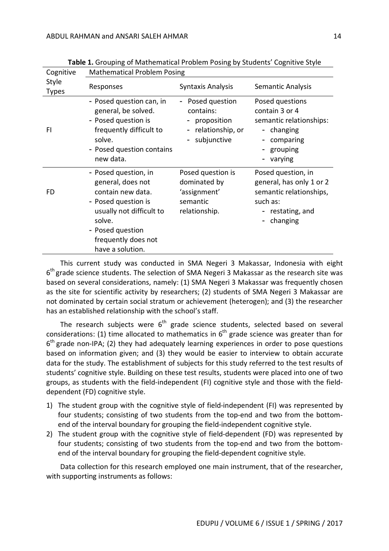| Cognitive             | <b>Mathematical Problem Posing</b>                                                                                                                                                         |                                                                                     |                                                                                                                     |  |
|-----------------------|--------------------------------------------------------------------------------------------------------------------------------------------------------------------------------------------|-------------------------------------------------------------------------------------|---------------------------------------------------------------------------------------------------------------------|--|
| Style<br><b>Types</b> | Responses                                                                                                                                                                                  | Syntaxis Analysis                                                                   | Semantic Analysis                                                                                                   |  |
| FI.                   | - Posed question can, in<br>general, be solved.<br>- Posed question is<br>frequently difficult to<br>solve.<br>- Posed question contains<br>new data.                                      | Posed question<br>contains:<br>- proposition<br>- relationship, or<br>- subjunctive | Posed questions<br>contain 3 or 4<br>semantic relationships:<br>- changing<br>comparing<br>grouping<br>varying      |  |
| FD                    | - Posed question, in<br>general, does not<br>contain new data.<br>- Posed question is<br>usually not difficult to<br>solve.<br>- Posed question<br>frequently does not<br>have a solution. | Posed question is<br>dominated by<br>'assignment'<br>semantic<br>relationship.      | Posed question, in<br>general, has only 1 or 2<br>semantic relationships,<br>such as:<br>restating, and<br>changing |  |

**Table 1.** Grouping of Mathematical Problem Posing by Students' Cognitive Style

This current study was conducted in SMA Negeri 3 Makassar, Indonesia with eight 6<sup>th</sup> grade science students. The selection of SMA Negeri 3 Makassar as the research site was based on several considerations, namely: (1) SMA Negeri 3 Makassar was frequently chosen as the site for scientific activity by researchers; (2) students of SMA Negeri 3 Makassar are not dominated by certain social stratum or achievement (heterogen); and (3) the researcher has an established relationship with the school's staff.

The research subjects were  $6<sup>th</sup>$  grade science students, selected based on several considerations: (1) time allocated to mathematics in  $6<sup>th</sup>$  grade science was greater than for  $6<sup>th</sup>$  grade non-IPA; (2) they had adequately learning experiences in order to pose questions based on information given; and (3) they would be easier to interview to obtain accurate data for the study. The establishment of subjects for this study referred to the test results of students' cognitive style. Building on these test results, students were placed into one of two groups, as students with the field-independent (FI) cognitive style and those with the fielddependent (FD) cognitive style.

- 1) The student group with the cognitive style of field-independent (FI) was represented by four students; consisting of two students from the top-end and two from the bottomend of the interval boundary for grouping the field-independent cognitive style.
- 2) The student group with the cognitive style of field-dependent (FD) was represented by four students; consisting of two students from the top-end and two from the bottomend of the interval boundary for grouping the field-dependent cognitive style.

Data collection for this research employed one main instrument, that of the researcher, with supporting instruments as follows: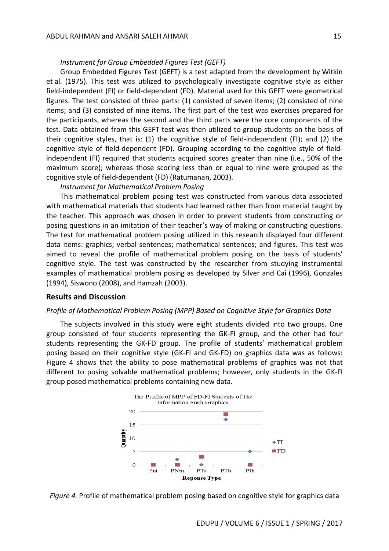#### *Instrument for Group Embedded Figures Test (GEFT)*

Group Embedded Figures Test (GEFT) is a test adapted from the development by Witkin et al. (1975). This test was utilized to psychologically investigate cognitive style as either field-independent (FI) or field-dependent (FD). Material used for this GEFT were geometrical figures. The test consisted of three parts: (1) consisted of seven items; (2) consisted of nine items; and (3) consisted of nine items. The first part of the test was exercises prepared for the participants, whereas the second and the third parts were the core components of the test. Data obtained from this GEFT test was then utilized to group students on the basis of their cognitive styles, that is: (1) the cognitive style of field-independent (FI); and (2) the cognitive style of field-dependent (FD). Grouping according to the cognitive style of fieldindependent (FI) required that students acquired scores greater than nine (i.e., 50% of the maximum score); whereas those scoring less than or equal to nine were grouped as the cognitive style of field-dependent (FD) (Ratumanan, 2003).

#### *Instrument for Mathematical Problem Posing*

This mathematical problem posing test was constructed from various data associated with mathematical materials that students had learned rather than from material taught by the teacher. This approach was chosen in order to prevent students from constructing or posing questions in an imitation of their teacher's way of making or constructing questions. The test for mathematical problem posing utilized in this research displayed four different data items: graphics; verbal sentences; mathematical sentences; and figures. This test was aimed to reveal the profile of mathematical problem posing on the basis of students' cognitive style. The test was constructed by the researcher from studying instrumental examples of mathematical problem posing as developed by Silver and Cai (1996), Gonzales (1994), Siswono (2008), and Hamzah (2003).

### **Results and Discussion**

#### *Profile of Mathematical Problem Posing (MPP) Based on Cognitive Style for Graphics Data*

The subjects involved in this study were eight students divided into two groups. One group consisted of four students representing the GK-FI group, and the other had four students representing the GK-FD group. The profile of students' mathematical problem posing based on their cognitive style (GK-FI and GK-FD) on graphics data was as follows: Figure 4 shows that the ability to pose mathematical problems of graphics was not that different to posing solvable mathematical problems; however, only students in the GK-FI group posed mathematical problems containing new data.



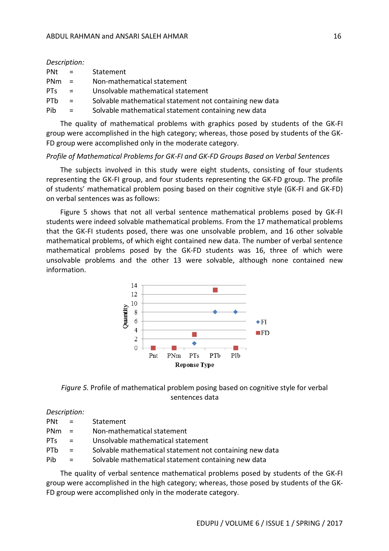*Description:* 

| $Pnt =$         |                           | Statement                                               |
|-----------------|---------------------------|---------------------------------------------------------|
| $PMm =$         |                           | Non-mathematical statement                              |
| PT <sub>S</sub> | $\mathbf{r} = \mathbf{r}$ | Unsolvable mathematical statement                       |
| PT <sub>b</sub> | $\mathbf{r} = \mathbf{r}$ | Solvable mathematical statement not containing new data |

Pib = Solvable mathematical statement containing new data

The quality of mathematical problems with graphics posed by students of the GK-FI group were accomplished in the high category; whereas, those posed by students of the GK-FD group were accomplished only in the moderate category.

### *Profile of Mathematical Problems for GK-FI and GK-FD Groups Based on Verbal Sentences*

The subjects involved in this study were eight students, consisting of four students representing the GK-FI group, and four students representing the GK-FD group. The profile of students' mathematical problem posing based on their cognitive style (GK-FI and GK-FD) on verbal sentences was as follows:

Figure 5 shows that not all verbal sentence mathematical problems posed by GK-FI students were indeed solvable mathematical problems. From the 17 mathematical problems that the GK-FI students posed, there was one unsolvable problem, and 16 other solvable mathematical problems, of which eight contained new data. The number of verbal sentence mathematical problems posed by the GK-FD students was 16, three of which were unsolvable problems and the other 13 were solvable, although none contained new information.





#### *Description:*

| <b>PNt</b>      | $\alpha_{\rm c} \equiv 0.001$ | Statement                                               |
|-----------------|-------------------------------|---------------------------------------------------------|
| <b>PNm</b>      | <b>Section</b>                | Non-mathematical statement                              |
| PT <sub>S</sub> | $\mathbf{r}$                  | Unsolvable mathematical statement                       |
| <b>PTh</b>      | $=$                           | Solvable mathematical statement not containing new data |
| Pib             | $\mathbf{r} = \mathbf{r}$     | Solvable mathematical statement containing new data     |

The quality of verbal sentence mathematical problems posed by students of the GK-FI group were accomplished in the high category; whereas, those posed by students of the GK-FD group were accomplished only in the moderate category.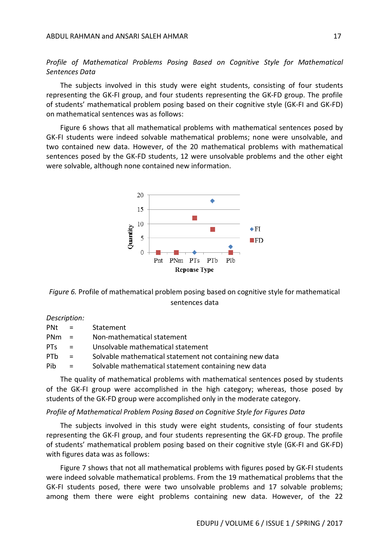*Profile of Mathematical Problems Posing Based on Cognitive Style for Mathematical Sentences Data*

The subjects involved in this study were eight students, consisting of four students representing the GK-FI group, and four students representing the GK-FD group. The profile of students' mathematical problem posing based on their cognitive style (GK-FI and GK-FD) on mathematical sentences was as follows:

Figure 6 shows that all mathematical problems with mathematical sentences posed by GK-FI students were indeed solvable mathematical problems; none were unsolvable, and two contained new data. However, of the 20 mathematical problems with mathematical sentences posed by the GK-FD students, 12 were unsolvable problems and the other eight were solvable, although none contained new information.



*Figure 6.* Profile of mathematical problem posing based on cognitive style for mathematical sentences data

## *Description:*

| PNt             | $\mathcal{L} = \mathcal{L}$ | Statement                                               |
|-----------------|-----------------------------|---------------------------------------------------------|
| <b>PNm</b>      | $\mathbf{r} = \mathbf{r}$   | Non-mathematical statement                              |
| PT <sub>S</sub> | $\mathbf{r} = \mathbf{r}$   | Unsolvable mathematical statement                       |
| <b>PTh</b>      | $\equiv$                    | Solvable mathematical statement not containing new data |
| Pib             | $\mathbf{r} = \mathbf{r}$   | Solvable mathematical statement containing new data     |

The quality of mathematical problems with mathematical sentences posed by students of the GK-FI group were accomplished in the high category; whereas, those posed by students of the GK-FD group were accomplished only in the moderate category.

#### *Profile of Mathematical Problem Posing Based on Cognitive Style for Figures Data*

The subjects involved in this study were eight students, consisting of four students representing the GK-FI group, and four students representing the GK-FD group. The profile of students' mathematical problem posing based on their cognitive style (GK-FI and GK-FD) with figures data was as follows:

Figure 7 shows that not all mathematical problems with figures posed by GK-FI students were indeed solvable mathematical problems. From the 19 mathematical problems that the GK-FI students posed, there were two unsolvable problems and 17 solvable problems; among them there were eight problems containing new data. However, of the 22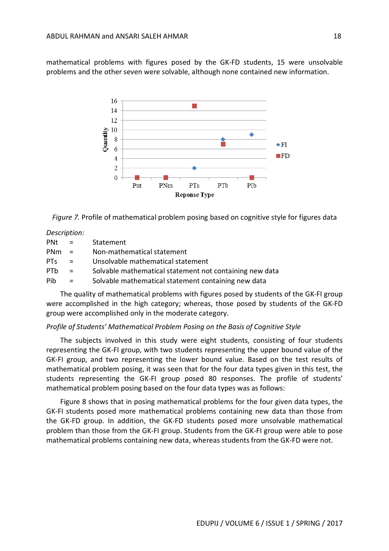mathematical problems with figures posed by the GK-FD students, 15 were unsolvable problems and the other seven were solvable, although none contained new information.



*Figure 7.* Profile of mathematical problem posing based on cognitive style for figures data

*Description:* 

| <b>PNt</b>      | $\mathbf{r} = \mathbf{r}$ | Statement                                               |
|-----------------|---------------------------|---------------------------------------------------------|
| <b>PNm</b>      | $\mathbf{r}$              | Non-mathematical statement                              |
| PT <sub>S</sub> | - 21                      | Unsolvable mathematical statement                       |
| <b>PTb</b>      | $\mathbf{r} = \mathbf{r}$ | Solvable mathematical statement not containing new data |
| Pib             | $=$                       | Solvable mathematical statement containing new data     |

The quality of mathematical problems with figures posed by students of the GK-FI group were accomplished in the high category; whereas, those posed by students of the GK-FD group were accomplished only in the moderate category.

### *Profile of Students' Mathematical Problem Posing on the Basis of Cognitive Style*

The subjects involved in this study were eight students, consisting of four students representing the GK-FI group, with two students representing the upper bound value of the GK-FI group, and two representing the lower bound value. Based on the test results of mathematical problem posing, it was seen that for the four data types given in this test, the students representing the GK-FI group posed 80 responses. The profile of students' mathematical problem posing based on the four data types was as follows:

Figure 8 shows that in posing mathematical problems for the four given data types, the GK-FI students posed more mathematical problems containing new data than those from the GK-FD group. In addition, the GK-FD students posed more unsolvable mathematical problem than those from the GK-FI group. Students from the GK-FI group were able to pose mathematical problems containing new data, whereas students from the GK-FD were not.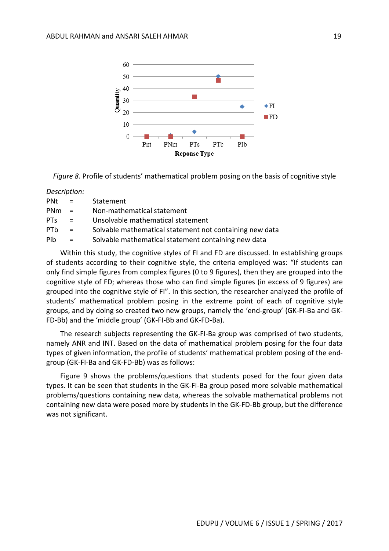

*Figure 8.* Profile of students' mathematical problem posing on the basis of cognitive style

*Description:* 

| <b>PNt</b>      | $\mathbf{r} = \mathbf{r}$ | Statement                                               |
|-----------------|---------------------------|---------------------------------------------------------|
| <b>PNm</b>      | $\mathbf{r} = \mathbf{r}$ | Non-mathematical statement                              |
| PT <sub>S</sub> | $\mathbf{r} = \mathbf{r}$ | Unsolvable mathematical statement                       |
| <b>PTh</b>      | $\mathbf{r} = \mathbf{r}$ | Solvable mathematical statement not containing new data |
| Pib             | $=$                       | Solvable mathematical statement containing new data     |

Within this study, the cognitive styles of FI and FD are discussed. In establishing groups of students according to their cognitive style, the criteria employed was: "If students can only find simple figures from complex figures (0 to 9 figures), then they are grouped into the cognitive style of FD; whereas those who can find simple figures (in excess of 9 figures) are grouped into the cognitive style of FI". In this section, the researcher analyzed the profile of students' mathematical problem posing in the extreme point of each of cognitive style groups, and by doing so created two new groups, namely the 'end-group' (GK-FI-Ba and GK-FD-Bb) and the 'middle group' (GK-FI-Bb and GK-FD-Ba).

The research subjects representing the GK-FI-Ba group was comprised of two students, namely ANR and INT. Based on the data of mathematical problem posing for the four data types of given information, the profile of students' mathematical problem posing of the endgroup (GK-FI-Ba and GK-FD-Bb) was as follows:

Figure 9 shows the problems/questions that students posed for the four given data types. It can be seen that students in the GK-FI-Ba group posed more solvable mathematical problems/questions containing new data, whereas the solvable mathematical problems not containing new data were posed more by students in the GK-FD-Bb group, but the difference was not significant.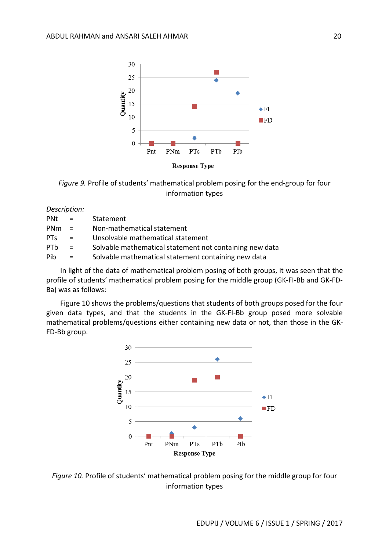



*Description:* 

| <b>PNt</b> | $\mathbf{r} = \mathbf{r}$ | Statement                                               |
|------------|---------------------------|---------------------------------------------------------|
| <b>PNm</b> | $\mathbf{r} = \mathbf{r}$ | Non-mathematical statement                              |
| <b>PTs</b> | $\mathbf{r} = \mathbf{r}$ | Unsolvable mathematical statement                       |
| PTh        | $\mathbf{r} = \mathbf{r}$ | Solvable mathematical statement not containing new data |
| Pib        | $=$                       | Solvable mathematical statement containing new data     |

In light of the data of mathematical problem posing of both groups, it was seen that the profile of students' mathematical problem posing for the middle group (GK-FI-Bb and GK-FD-Ba) was as follows:

Figure 10 shows the problems/questions that students of both groups posed for the four given data types, and that the students in the GK-FI-Bb group posed more solvable mathematical problems/questions either containing new data or not, than those in the GK-FD-Bb group.



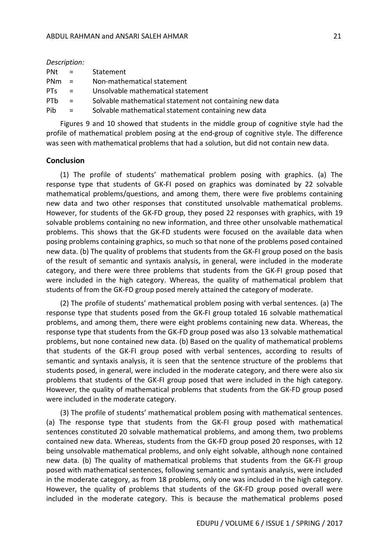|                 | DUSCHDLIUH. |                                                         |
|-----------------|-------------|---------------------------------------------------------|
| PNt             | $\equiv$    | Statement                                               |
| PN <sub>m</sub> | $=$         | Non-mathematical statement                              |
| PT <sub>S</sub> | $\equiv$    | Unsolvable mathematical statement                       |
| PT <sub>b</sub> | $=$         | Solvable mathematical statement not containing new data |
| Pib             | $=$         | Solvable mathematical statement containing new data     |

Figures 9 and 10 showed that students in the middle group of cognitive style had the profile of mathematical problem posing at the end-group of cognitive style. The difference was seen with mathematical problems that had a solution, but did not contain new data.

### **Conclusion**

*Description:* 

(1) The profile of students' mathematical problem posing with graphics. (a) The response type that students of GK-FI posed on graphics was dominated by 22 solvable mathematical problems/questions, and among them, there were five problems containing new data and two other responses that constituted unsolvable mathematical problems. However, for students of the GK-FD group, they posed 22 responses with graphics, with 19 solvable problems containing no new information, and three other unsolvable mathematical problems. This shows that the GK-FD students were focused on the available data when posing problems containing graphics, so much so that none of the problems posed contained new data. (b) The quality of problems that students from the GK-FI group posed on the basis of the result of semantic and syntaxis analysis, in general, were included in the moderate category, and there were three problems that students from the GK-FI group posed that were included in the high category. Whereas, the quality of mathematical problem that students of from the GK-FD group posed merely attained the category of moderate.

(2) The profile of students' mathematical problem posing with verbal sentences. (a) The response type that students posed from the GK-FI group totaled 16 solvable mathematical problems, and among them, there were eight problems containing new data. Whereas, the response type that students from the GK-FD group posed was also 13 solvable mathematical problems, but none contained new data. (b) Based on the quality of mathematical problems that students of the GK-FI group posed with verbal sentences, according to results of semantic and syntaxis analysis, it is seen that the sentence structure of the problems that students posed, in general, were included in the moderate category, and there were also six problems that students of the GK-FI group posed that were included in the high category. However, the quality of mathematical problems that students from the GK-FD group posed were included in the moderate category.

(3) The profile of students' mathematical problem posing with mathematical sentences. (a) The response type that students from the GK-FI group posed with mathematical sentences constituted 20 solvable mathematical problems, and among them, two problems contained new data. Whereas, students from the GK-FD group posed 20 responses, with 12 being unsolvable mathematical problems, and only eight solvable, although none contained new data. (b) The quality of mathematical problems that students from the GK-FI group posed with mathematical sentences, following semantic and syntaxis analysis, were included in the moderate category, as from 18 problems, only one was included in the high category. However, the quality of problems that students of the GK-FD group posed overall were included in the moderate category. This is because the mathematical problems posed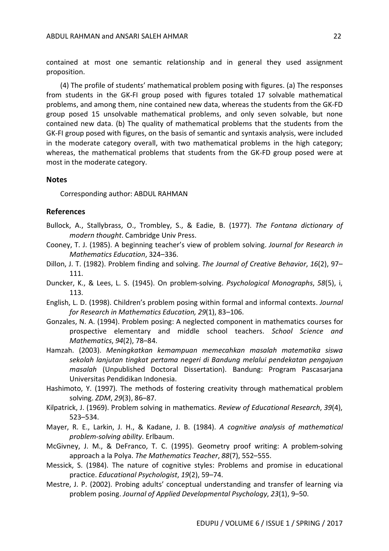contained at most one semantic relationship and in general they used assignment proposition.

(4) The profile of students' mathematical problem posing with figures. (a) The responses from students in the GK-FI group posed with figures totaled 17 solvable mathematical problems, and among them, nine contained new data, whereas the students from the GK-FD group posed 15 unsolvable mathematical problems, and only seven solvable, but none contained new data. (b) The quality of mathematical problems that the students from the GK-FI group posed with figures, on the basis of semantic and syntaxis analysis, were included in the moderate category overall, with two mathematical problems in the high category; whereas, the mathematical problems that students from the GK-FD group posed were at most in the moderate category.

#### **Notes**

Corresponding author: ABDUL RAHMAN

## **References**

- Bullock, A., Stallybrass, O., Trombley, S., & Eadie, B. (1977). *The Fontana dictionary of modern thought*. Cambridge Univ Press.
- Cooney, T. J. (1985). A beginning teacher's view of problem solving. *Journal for Research in Mathematics Education*, 324–336.
- Dillon, J. T. (1982). Problem finding and solving. *The Journal of Creative Behavior*, *16*(2), 97– 111.
- Duncker, K., & Lees, L. S. (1945). On problem-solving. *Psychological Monographs*, *58*(5), i, 113.
- English, L. D. (1998). Children's problem posing within formal and informal contexts. *Journal for Research in Mathematics Education, 29*(1), 83–106.
- Gonzales, N. A. (1994). Problem posing: A neglected component in mathematics courses for prospective elementary and middle school teachers. *School Science and Mathematics*, *94*(2), 78–84.
- Hamzah. (2003). *Meningkatkan kemampuan memecahkan masalah matematika siswa sekolah lanjutan tingkat pertama negeri di Bandung melalui pendekatan pengajuan masalah* (Unpublished Doctoral Dissertation). Bandung: Program Pascasarjana Universitas Pendidikan Indonesia.
- Hashimoto, Y. (1997). The methods of fostering creativity through mathematical problem solving. *ZDM*, *29*(3), 86–87.
- Kilpatrick, J. (1969). Problem solving in mathematics. *Review of Educational Research*, *39*(4), 523–534.
- Mayer, R. E., Larkin, J. H., & Kadane, J. B. (1984). *A cognitive analysis of mathematical problem-solving ability*. Erlbaum.
- McGivney, J. M., & DeFranco, T. C. (1995). Geometry proof writing: A problem-solving approach a la Polya. *The Mathematics Teacher*, *88*(7), 552–555.
- Messick, S. (1984). The nature of cognitive styles: Problems and promise in educational practice. *Educational Psychologist*, *19*(2), 59–74.
- Mestre, J. P. (2002). Probing adults' conceptual understanding and transfer of learning via problem posing. *Journal of Applied Developmental Psychology*, *23*(1), 9–50.